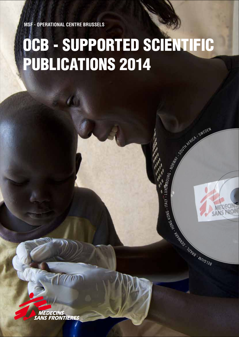**MSF - Operational Centre Brussels**

# OCB - supported SCIENTIFIC PUBLICATIONS 2014

en Barnett - Brazilian - Brazilian - Brazilian - Brazilian - Brazilian - Brazilian - Brazilian - Brazilian - B

BUIRG - NORWAY - SWEDEN

Ko n

 $M_{\rm H}$  - Italy - Luxem

**MEDECINS<br>SANS FRONTIERES**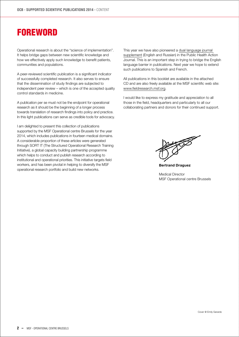# **FOREWORD**

Operational research is about the "science of implementation". It helps bridge gaps between new scientific knowledge and how we effectively apply such knowledge to benefit patients, communities and populations.

A peer-reviewed scientific publication is a significant indicator of successfully completed research. It also serves to ensure that the dissemination of study findings are subjected to independent peer review – which is one of the accepted quality control standards in medicine.

A publication per se must not be the endpoint for operational research as it should be the beginning of a longer process towards translation of research findings into policy and practice. In this light publications can serve as credible tools for advocacy.

I am delighted to present this collection of publications supported by the MSF Operational centre Brussels for the year 2014, which includes publications in fourteen medical domains. A considerable proportion of these articles were generated through SORT IT (The Structured Operational Research Training Initiative), a global capacity building partnership programme which helps to conduct and publish research according to institutional and operational priorities. This initiative targets field workers, and has been pivotal in helping to diversify the MSF operational research portfolio and build new networks.

This year we have also pioneered a [dual language journal](http://bit.ly/1yQe817)  [supplement](http://bit.ly/1yQe817) (English and Russian) in the Public Health Action Journal. This is an important step in trying to bridge the English language barrier in publications. Next year we hope to extend such publications to Spanish and French.

All publications in this booklet are available in the attached CD and are also freely available at the MSF scientific web site: [www.fieldresearch.msf.org.](http://fieldresearch.msf.org/msf/)

I would like to express my gratitude and appreciation to all those in the field, headquarters and particularly to all our collaborating partners and donors for their continued support.



**Bertrand Draguez**

Medical Director MSF Operational centre Brussels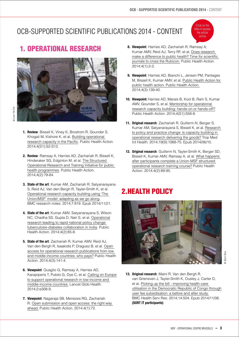# OCB-Supported Scientific Publications 2014 - CONTENT



# 1. Operational Research



- **1. Review**: Bissell K, Viney K, Brostrom R, Gounder S, Khogali M, Kishore K, et al. [Building operational](http://fieldresearch.msf.org/msf/handle/10144/322231)   [research capacity in the Pacific](http://fieldresearch.msf.org/msf/handle/10144/322231). Public Health Action. 2014;4(S1):S2-S13.
- **2. Review**: Ramsay A, Harries AD, Zachariah R, Bissell K, Hinderaker SG, Edginton M, et al[. The Structured](http://fieldresearch.msf.org/msf/handle/10144/322299)   [Operational Research and Training Initiative for public](http://fieldresearch.msf.org/msf/handle/10144/322299)   [health programmes.](http://fieldresearch.msf.org/msf/handle/10144/322299) Public Health Action. 2014;4(2):79-84.
- **3. State of the art**: Kumar AM, Zachariah R, Satyanarayana S, Reid AJ, Van den Bergh R, Tayler-Smith K, et al. [Operational research capacity building using 'The](http://www.ncbi.nlm.nih.gov/pmc/articles/PMC4253003/)   [Union/MSF' model: adapting as we go along.](http://www.ncbi.nlm.nih.gov/pmc/articles/PMC4253003/) BMC research notes. 2014;7:819. Epub 2014/11/21.
- **4. State of the art**: Kumar AMV, Satyanarayana S, Wilson NC, Chadha SS, Gupta D, Nair S, et al. [Operational](http://www.ingentaconnect.com/content/iuatld/pha/2014/00000004/00000002/art00005)  [research leading to rapid national policy change:](http://www.ingentaconnect.com/content/iuatld/pha/2014/00000004/00000002/art00005)  [tuberculosis-diabetes collaboration in India.](http://www.ingentaconnect.com/content/iuatld/pha/2014/00000004/00000002/art00005) Public Health Action. 2014;4(2):85-8.
- **5. State of the art**: Zachariah R, Kumar AMV, Reid AJ, Van den Bergh R, Isaakidis P, Draguez B, et al. [Open](http://www.ingentaconnect.com/content/iuatld/pha/2014/00000004/00000003/art00005)   [access for operational research publications from low](http://www.ingentaconnect.com/content/iuatld/pha/2014/00000004/00000003/art00005)   [and middle-income countries: who pays?](http://www.ingentaconnect.com/content/iuatld/pha/2014/00000004/00000003/art00005) Public Health Action. 2014;4(3):141-4.
- **6. Viewpoint**: Quaglio G, Ramsay A, Harries AD, Karapiperis T, Putoto G, Dye C, et al. [Calling on Europe](http://www.thelancet.com/journals/langlo/article/PIIS2214-109X%2814%2970218-9/abstract)   [to support operational research in low-income and](http://www.thelancet.com/journals/langlo/article/PIIS2214-109X%2814%2970218-9/abstract)   [middle-income countries.](http://www.thelancet.com/journals/langlo/article/PIIS2214-109X%2814%2970218-9/abstract) Lancet Glob Health. 2014;2:e308-9.
- **7. Viewpoint**: Nagaraja SB, Menezes RG, Zachariah R. [Open submission and open access: the right way](http://fieldresearch.msf.org/msf/handle/10144/338697?mode=full)   [ahead.](http://fieldresearch.msf.org/msf/handle/10144/338697?mode=full) Public Health Action. 2014;4(1):72.
- **8. Viewpoint**: Harries AD, Zachariah R, Ramsay A, Kumar AMV, Reid AJ, Terry RF, et al. [Does research](http://www.ingentaconnect.com/content/iuatld/pha/2014/00000004/00000001/art00002)   [make a difference to public health? Time for scientific](http://www.ingentaconnect.com/content/iuatld/pha/2014/00000004/00000001/art00002)   [journals to cross the Rubicon.](http://www.ingentaconnect.com/content/iuatld/pha/2014/00000004/00000001/art00002) Public Health Action. 2014;4(1):2-3.
- **9. Viewpoint**: Harries AD, Bianchi L, Jensen PM, Pantages M, Bissell K, Kumar AMV, et al. [Public Health Action for](http://www.ingentaconnect.com/content/iuatld/pha/2014/00000004/00000003/art00004?crawler=true)   [public health action. Public Health Action.](http://www.ingentaconnect.com/content/iuatld/pha/2014/00000004/00000003/art00004?crawler=true) 2014;4(3):139-40.
- **10. Viewpoint:** Harries AD, Marais B, Kool B, Ram S, Kumar AMV, Gounder S, et al. [Mentorship for operational](http://www.ingentaconnect.com/content/iuatld/pha/2014/00000004/A00101s1/art00013)   [research capacity building: hands-on or hands-off?](http://www.ingentaconnect.com/content/iuatld/pha/2014/00000004/A00101s1/art00013) Public Health Action. 2014;4(S1):S56-8.
- **11. Original research**: Zachariah R, Guillerm N, Berger S, Kumar AM, Satyanarayana S, Bissell K, et al. [Research](http://fieldresearch.msf.org/msf/handle/10144/320386)   [to policy and practice change: is capacity building in](http://fieldresearch.msf.org/msf/handle/10144/320386)   [operational research delivering the goods?](http://fieldresearch.msf.org/msf/handle/10144/320386) Trop Med Int Health. 2014;19(9):1068-75. Epub 2014/06/10.
- **12. Original research**: Guillerm N, Tayler-Smith K, Berger SD, Bissell K, Kumar AMV, Ramsay A, et al. [What happens](http://fieldresearch.msf.org/msf/bitstream/10144/322300/1/Guillerm et al-What happens after participants complete a Union-MSF structured operational research training course-2014.pdf)   [after participants complete a Union-MSF structured](http://fieldresearch.msf.org/msf/bitstream/10144/322300/1/Guillerm et al-What happens after participants complete a Union-MSF structured operational research training course-2014.pdf)   [operational research training course?](http://fieldresearch.msf.org/msf/bitstream/10144/322300/1/Guillerm et al-What happens after participants complete a Union-MSF structured operational research training course-2014.pdf) Public Health Action. 2014;4(2):89-95.

# 2. Health Policy



**13. Original research**: Maini R, Van den Bergh R, van Griensven J, Tayler-Smith K, Ousley J, Carter D, et al. [Picking up the bill - improving health-care](http://www.biomedcentral.com/1472-6963/14/504)   [utilisation in the Democratic Republic of Congo through](http://www.biomedcentral.com/1472-6963/14/504)   [user fee subsidisation: a before and after study.](http://www.biomedcentral.com/1472-6963/14/504) BMC Health Serv Res. 2014;14:504. Epub 2014/11/06.  **(SORT IT participants)**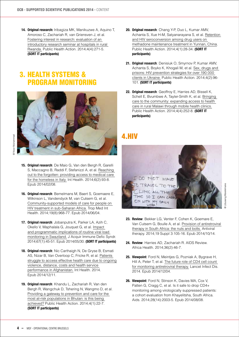**14. Original research:** Iribagiza MK, Manikuzwe A, Aquino T, Amoroso C, Zachariah R, van Griensven J, et al. [Fostering interest in research: evaluation of an](http://www.ingentaconnect.com/content/iuatld/pha/2014/00000004/00000004/art00013)   [introductory research seminar at hospitals in rural](http://www.ingentaconnect.com/content/iuatld/pha/2014/00000004/00000004/art00013)   [Rwanda.](http://www.ingentaconnect.com/content/iuatld/pha/2014/00000004/00000004/art00013) Public Health Action. 2014;4(4):271-5. **(SORT IT participants)**

#### 3. Health Systems & Program Monitoring



- Noor Muhammad @ Noor Muhammad
- **15. Original research**: De Maio G, Van den Bergh R, Garelli S, Maccagno B, Raddi F, Stefanizzi A, et al. [Reaching](http://inthealth.oxfordjournals.org/content/early/2014/02/05/inthealth.ihu002.full.pdf)   [out to the forgotten: providing access to medical care](http://inthealth.oxfordjournals.org/content/early/2014/02/05/inthealth.ihu002.full.pdf)   [for the homeless in Italy.](http://inthealth.oxfordjournals.org/content/early/2014/02/05/inthealth.ihu002.full.pdf) Int Health. 2014;6(2):93-8. Epub 2014/02/08.
- **16. Original research**: Bemelmans M, Baert S, Goemaere E, Wilkinson L, Vandendyck M, van Cutsem G, et al. [Community-supported models of care for people on](http://msf.openrepository.com/msf/handle/10144/322654)   [HIV treatment in sub-Saharan Africa.](http://msf.openrepository.com/msf/handle/10144/322654) Trop Med Int Health. 2014;19(8):968-77. Epub 2014/06/04.
- **17. Original research**: Jobanputra K, Parker LA, Azih C, Okello V, Maphalala G, Jouquet G, et al. [Impact](http://www.ncbi.nlm.nih.gov/pmc/articles/PMC4149657/)   [and programmatic implications of routine viral load](http://www.ncbi.nlm.nih.gov/pmc/articles/PMC4149657/)   [monitoring in Swaziland.](http://www.ncbi.nlm.nih.gov/pmc/articles/PMC4149657/) J Acquir Immune Defic Syndr. 2014;67(1):45-51. Epub 2014/05/30. **(SORT IT participants)**
- **18. Original research**: Nic Carthaigh N, De Gryse B, Esmati AS, Nizar B, Van Overloop C, Fricke R, et al. [Patients](http://inthealth.oxfordjournals.org/content/early/2014/12/08/inthealth.ihu086.full.pdf+html)   [struggle to access effective health care due to ongoing](http://inthealth.oxfordjournals.org/content/early/2014/12/08/inthealth.ihu086.full.pdf+html)   [violence, distance, costs and health service](http://inthealth.oxfordjournals.org/content/early/2014/12/08/inthealth.ihu086.full.pdf+html)   [performance in Afghanistan.](http://inthealth.oxfordjournals.org/content/early/2014/12/08/inthealth.ihu086.full.pdf+html) Int Health. 2014. Epub 2014/12/11.
- **19. Original research**: Khandu L, Zachariah R, Van den Bergh R, Wangchuk D, Tshering N, Wangmo D, et al. [Providing a gateway to prevention and care for the](http://fieldresearch.msf.org/msf/handle/10144/315047)   [most at-risk populations in Bhutan: is this being](http://fieldresearch.msf.org/msf/handle/10144/315047)   [achieved?](http://fieldresearch.msf.org/msf/handle/10144/315047) Public Health Action. 2014;4(1):22-7. **(SORT IT participants)**
- **20. Original research**: Chang Y-P, Duo L, Kumar AMV, Achanta S, Xue H-M, Satyanarayana S, et al. [Retention](http://www.ingentaconnect.com/content/iuatld/pha/2014/00000004/00000001/art00009)   [and HIV seroconversion among drug users on](http://www.ingentaconnect.com/content/iuatld/pha/2014/00000004/00000001/art00009)   [methadone maintenance treatment in Yunnan, China](http://www.ingentaconnect.com/content/iuatld/pha/2014/00000004/00000001/art00009). Public Health Action. 2014;4(1):28-34. **(SORT IT participants)**
- **21. Original research**: Denisiuk O, Smyrnov P, Kumar AMV, Achanta S, Boyko K, Khogali M, et al. [Sex, drugs and](http://www.ingentaconnect.com/content/iuatld/pha/2014/00000004/00000002/art00007)   [prisons: HIV prevention strategies for over 190 000](http://www.ingentaconnect.com/content/iuatld/pha/2014/00000004/00000002/art00007)   [clients in Ukraine.](http://www.ingentaconnect.com/content/iuatld/pha/2014/00000004/00000002/art00007) Public Health Action. 2014;4(2):96- 101. **(SORT IT participants)**
- **22. Original research**: Geoffroy E, Harries AD, Bissell K, Schell E, Bvumbwe A, Tayler-Smith K, et al. [Bringing](http://www.ingentaconnect.com/content/iuatld/pha/2014/00000004/00000004/art00010)   [care to the community: expanding access to health](http://www.ingentaconnect.com/content/iuatld/pha/2014/00000004/00000004/art00010)   [care in rural Malawi through mobile health clinics.](http://www.ingentaconnect.com/content/iuatld/pha/2014/00000004/00000004/art00010) Public Health Action. 2014;4(4):252-8. **(SORT IT participants)**

### 4. HIV



- **23. Review**: Bekker LG, Venter F, Cohen K, Goemare E, Van Cutsem G, Boulle A, et al. [Provision of antiretroviral](http://www.intmedpress.com/serveFile.cfm?sUID=eb5d9fc6-3267-4737-ac8c-7d11b0b94164)   [therapy in South Africa: the nuts and bolts.](http://www.intmedpress.com/serveFile.cfm?sUID=eb5d9fc6-3267-4737-ac8c-7d11b0b94164) Antiviral therapy. 2014;19 Suppl 3:105-16. Epub 2014/10/14.
- **24. Review**: Harries AD, Zachariah R. AIDS Review. Africa Health. 2014;36(2):46-7.
- **25. Viewpoint**: Ford N, Meintjes G, Pozniak A, Bygrave H, Hill A, Peter T, et al. [The future role of CD4 cell count](http://fieldresearch.msf.org/msf/handle/10144/337728)   [for monitoring antiretroviral therapy.](http://fieldresearch.msf.org/msf/handle/10144/337728) Lancet Infect Dis. 2014. Epub 2014/12/04.
- **26. Viewpoint**: Ford N, Stinson K, Davies MA, Cox V, Patten G, Cragg C, et al. Is it safe to drop CD4+ monitoring among virologically suppressed patients: a cohort evaluation from Khayelitsha, South Africa. Aids. 2014;28(14):2003-5. Epub 2014/08/08.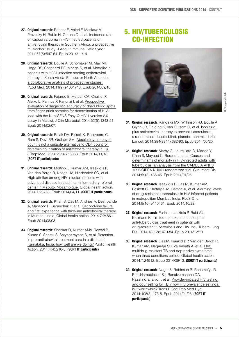- **27. Original research**: Rohner E, Valeri F, Maskew M, Prozesky H, Rabie H, Garone D, et al. Incidence rate of Kaposi sarcoma in HIV-infected patients on antiretroviral therapy in Southern Africa: a prospective multicohort study. J Acquir Immune Defic Syndr. 2014;67(5):547-54. Epub 2014/11/14.
- **28. Original research**: Boulle A, Schomaker M, May MT, Hogg RS, Shepherd BE, Monge S, et al. [Mortality in](http://journals.plos.org/plosmedicine/article?id=10.1371/journal.pmed.1001718)   [patients with HIV-1 infection starting antiretroviral](http://journals.plos.org/plosmedicine/article?id=10.1371/journal.pmed.1001718)   [therapy in South Africa, Europe, or North America:](http://journals.plos.org/plosmedicine/article?id=10.1371/journal.pmed.1001718)   [a collaborative analysis of prospective studies.](http://journals.plos.org/plosmedicine/article?id=10.1371/journal.pmed.1001718) PLoS Med. 2014;11(9):e1001718. Epub 2014/09/10.
- **29. Original research**: Fajardo E, Metcalf CA, Chaillet P, Aleixo L, Pannus P, Panunzi I, et al. [Prospective](http://jcm.asm.org/content/52/5/1343.full)   [evaluation of diagnostic accuracy of dried blood spots](http://jcm.asm.org/content/52/5/1343.full)   [from finger prick samples for determination of HIV-1](http://jcm.asm.org/content/52/5/1343.full)   [load with the NucliSENS Easy-Q HIV-1 version 2.0](http://jcm.asm.org/content/52/5/1343.full)   [assay in Malawi.](http://jcm.asm.org/content/52/5/1343.full) J Clin Microbiol. 2014;52(5):1343-51. Epub 2014/02/07.
- **30. Original research**: Balak DA, Bissell K, Roseveare C, Ram S, Devi RR, Graham SM. [Absolute lymphocyte](http://www.hindawi.com/journals/jtm/2014/715363/)   [count is not a suitable alternative to CD4 count for](http://www.hindawi.com/journals/jtm/2014/715363/)   [determining initiation of antiretroviral therapy in Fiji.](http://www.hindawi.com/journals/jtm/2014/715363/) J Trop Med. 2014;2014:715363. Epub 2014/11/18. **(SORT IT participants)**
- **31. Original research**: Molfino L, Kumar AM, Isaakidis P, Van den Bergh R, Khogali M, Hinderaker SG, et al. [High attrition among HIV-infected patients with](http://www.globalhealthaction.net/index.php/gha/article/view/23758/pdf_1)   [advanced disease treated in an intermediary referral](http://www.globalhealthaction.net/index.php/gha/article/view/23758/pdf_1)   [center in Maputo, Mozambique.](http://www.globalhealthaction.net/index.php/gha/article/view/23758/pdf_1) Global health action. 2014;7:23758. Epub 2014/04/11. **(SORT IT participants)**
- **32. Original research**: Khan S, Das M, Andries A, Deshpande A, Mansoor H, Saranchuk P, et al. [Second-line failure](http://www.globalhealthaction.net/index.php/gha/article/view/24861)   [and first experience with third-line antiretroviral therapy](http://www.globalhealthaction.net/index.php/gha/article/view/24861)   [in Mumbai, India.](http://www.globalhealthaction.net/index.php/gha/article/view/24861) Global health action. 2014;7:24861. Epub 2014/08/03.
- **33. Original research**: Shankar D, Kumar AMV, Rewari B, Kumar S, Shastri S, Satyanarayana S, et al. [Retention](http://www.ingentaconnect.com/content/iuatld/pha/2014/00000004/00000004/art00002?crawler=true)   [in pre-antiretroviral treatment care in a district of](http://www.ingentaconnect.com/content/iuatld/pha/2014/00000004/00000004/art00002?crawler=true)   [Karnataka, India: how well are we doing?](http://www.ingentaconnect.com/content/iuatld/pha/2014/00000004/00000004/art00002?crawler=true) Public Health Action. 2014;4(4):210-5. **(SORT IT participants)**

# 5. HIV/Tuberculosis Co-infection



- Giorgos Moutafis @ Giorgos Moutafis
- **34. Original research**: Rangaka MX, Wilkinson RJ, Boulle A, Glynn JR, Fielding K, van Cutsem G, et al. [Isoniazid](http://www.thelancet.com/journals/lancet/article/PIIS0140-6736%2814%2960162-8/abstract)   [plus antiretroviral therapy to prevent tuberculosis:](http://www.thelancet.com/journals/lancet/article/PIIS0140-6736%2814%2960162-8/abstract)   [a randomised double-blind, placebo-controlled trial.](http://www.thelancet.com/journals/lancet/article/PIIS0140-6736%2814%2960162-8/abstract) Lancet. 2014;384(9944):682-90. Epub 2014/05/20.
- **35. Original research**: Marcy O, Laureillard D, Madec Y, Chan S, Mayaud C, Borand L, et al. [Causes and](http://fieldresearch.msf.org/msf/handle/10144/337112)   [determinants of mortality in HIV-infected adults with](http://fieldresearch.msf.org/msf/handle/10144/337112)   [tuberculosis: an analysis from the CAMELIA ANRS](http://fieldresearch.msf.org/msf/handle/10144/337112) 1295-CIPRA KH001 randomized trial. Clin Infect Dis. 2014;59(3):435-45. Epub 2014/04/25.
- **36. Original research**: Isaakidis P, Das M, Kumar AM, Peskett C, Khetarpal M, Bamne A, et al. [Alarming levels](http://journals.plos.org/plosone/article?id=10.1371/journal.pone.0110461)   [of drug-resistant tuberculosis in HIV-infected patients](http://journals.plos.org/plosone/article?id=10.1371/journal.pone.0110461)   [in metropolitan Mumbai, India.](http://journals.plos.org/plosone/article?id=10.1371/journal.pone.0110461) PLoS One. 2014;9(10):e110461. Epub 2014/10/22.
- **37. Original research**: Furin J, Isaakidis P, Reid AJ, Kielmann K. 'I'm fed up': experiences of prior anti-tuberculosis treatment in patients with drug-resistant tuberculosis and HIV. Int J Tuberc Lung Dis. 2014;18(12):1479-84. Epub 2014/12/18.
- **38. Original research**: Das M, Isaakidis P, Van den Bergh R, Kumar AM, Nagaraja SB, Valikayath A, et al. [HIV,](http://www.globalhealthaction.net/index.php/gha/article/view/24912/html)   [multidrug-resistant TB and depressive symptoms:](http://www.globalhealthaction.net/index.php/gha/article/view/24912/html)   [when three conditions collide.](http://www.globalhealthaction.net/index.php/gha/article/view/24912/html) Global health action. 2014;7:24912. Epub 2014/09/13. **(SORT IT participants)**
- **39. Original research**: Nagai S, Robinson R, Rahamefy JR, Randriambeloson SJ, Ranaivomanana DA, Razafindranaivo T, et al. [Provider-initiated HIV testing](http://fieldresearch.msf.org/msf/handle/10144/315854?mode=full)  and counselling for TB in low HIV prevalence settings:  [is it worthwhile?](http://fieldresearch.msf.org/msf/handle/10144/315854?mode=full) Trans R Soc Trop Med Hyg. 2014;108(3):173-5. Epub 2014/01/28. **(SORT IT participants)**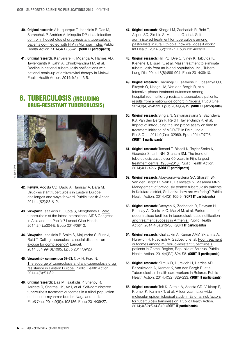- **40. Original research**: Albuquerque T, Isaakidis P, Das M, Saranchuk P, Andries A, Misquita DP, et al. [Infection](http://www.ingentaconnect.com/content/iuatld/pha/2014/00000004/00000001/art00010)   [control in households of drug-resistant tuberculosis](http://www.ingentaconnect.com/content/iuatld/pha/2014/00000004/00000001/art00010)   [patients co-infected with HIV in Mumbai, India.](http://www.ingentaconnect.com/content/iuatld/pha/2014/00000004/00000001/art00010) Public Health Action. 2014;4(1):35-41. **(SORT IT participants)**
- **41. Original research**: Kanyerere H, Mganga A, Harries AD, Tayler-Smith K, Jahn A, Chimbwandira FM, et al. [Decline in national tuberculosis notifications with](http://www.ingentaconnect.com/content/iuatld/pha/2014/00000004/00000002/art00011)   [national scale-up of antiretroviral therapy in Malawi.](http://www.ingentaconnect.com/content/iuatld/pha/2014/00000004/00000002/art00011) Public Health Action. 2014;4(2):113-5.

#### 6. Tuberculosis (including drug-resistant tuberculosis)



- **42. Review**: Acosta CD, Dadu A, Ramsay A, Dara M. [Drug-resistant tuberculosis in Eastern Europe:](http://www.ingentaconnect.com/content/iuatld/pha/2014/00000004/A00202s2/art00003)   [challenges and ways forward.](http://www.ingentaconnect.com/content/iuatld/pha/2014/00000004/A00202s2/art00003) Public Health Action. 2014;4(S2):S3-S12.
- **43. Viewpoint**: Isaakidis P, Gupta S, Menghaney L. [Zero](http://www.thelancet.com/journals/langlo/article/PIIS2214-109X%2814%2970017-8/fulltext)   [tuberculosis at the latest International AIDS Congress](http://www.thelancet.com/journals/langlo/article/PIIS2214-109X%2814%2970017-8/fulltext)   [in Asia and the Pacific?](http://www.thelancet.com/journals/langlo/article/PIIS2214-109X%2814%2970017-8/fulltext) Lancet Glob Health. 2014;2(4):e204-5. Epub 2014/08/12.
- **44. Viewpoint**: Isaakidis P, Smith S, Majumdar S, Furin J, Reid T. [Calling tuberculosis a social disease--an](http://www.thelancet.com/journals/lancet/article/PIIS0140-6736%2814%2961670-6/fulltext?rss=yes)   [excuse for complacency?](http://www.thelancet.com/journals/lancet/article/PIIS0140-6736%2814%2961670-6/fulltext?rss=yes) Lancet. 2014;384(9948):1095. Epub 2014/09/23.
- **45. Viewpoint comment on 53-63:** Cox H, Ford N. [The scourge of tuberculosis and anti-tuberculosis drug](http://www.ingentaconnect.com/content/iuatld/pha/2014/00000004/A00202s2/art00002)   [resistance in Eastern Europe.](http://www.ingentaconnect.com/content/iuatld/pha/2014/00000004/A00202s2/art00002) Public Health Action. 2014;4(3):S1-S2.
- **46. Original research:** Das M, Isaakidis P, Shenoy R, Anicete R, Sharma HK, Ao I, et al. [Self-administered](http://journals.plos.org/plosone/article?id=10.1371/journal.pone.0108186)   [tuberculosis treatment outcomes in a tribal population](http://journals.plos.org/plosone/article?id=10.1371/journal.pone.0108186)   [on the indo-myanmar border, Nagaland, India.](http://journals.plos.org/plosone/article?id=10.1371/journal.pone.0108186) PLoS One. 2014;9(9):e108186. Epub 2014/09/27.
- **47. Original research**: Khogali M, Zachariah R, Reid T, Alipon SC, Zimble S, Mahama G, et al. [Self](http://fieldresearch.msf.org/msf/handle/10144/314578)  [administered treatment for tuberculosis among](http://fieldresearch.msf.org/msf/handle/10144/314578)   [pastoralists in rural Ethiopia: how well does it work?](http://fieldresearch.msf.org/msf/handle/10144/314578) Int Health. 2014;6(2):112-7. Epub 2014/03/19.
- **48. Original research:** Hill PC, Dye C, Viney K, Tabutoa K, Kienene T, Bissell K, et al. [Mass treatment to eliminate](http://fieldresearch.msf.org/msf/handle/10144/332872)   [tuberculosis from an island population.](http://fieldresearch.msf.org/msf/handle/10144/332872) Int J Tuberc Lung Dis. 2014;18(8):899-904. Epub 2014/09/10.
- **49. Original research:** Oladimeji O, Isaakidis P, Obasanya OJ, Eltayeb O, Khogali M, Van den Bergh R, et al. [Intensive-phase treatment outcomes among](http://journals.plos.org/plosone/article?id=10.1371/journal.pone.0094393)   [hospitalized multidrug-resistant tuberculosis patients:](http://journals.plos.org/plosone/article?id=10.1371/journal.pone.0094393)   [results from a nationwide cohort in Nigeria.](http://journals.plos.org/plosone/article?id=10.1371/journal.pone.0094393) PLoS One. 2014;9(4):e94393. Epub 2014/04/12. **(SORT IT participants)**
- **50. Original research:** Singla N, Satyanarayana S, Sachdeva KS, Van den Bergh R, Reid T, Tayler-Smith K, et al. [Impact of introducing the line probe assay on time to](http://journals.plos.org/plosone/article?id=10.1371/journal.pone.0102989)   [treatment initiation of MDR-TB in Delhi, India.](http://journals.plos.org/plosone/article?id=10.1371/journal.pone.0102989) PLoS One. 2014;9(7):e102989. Epub 2014/07/25. **(SORT IT participants)**
- **51. Original research:** Tamani T, Bissell K, Tayler-Smith K, Gounder S, Linh NN, Graham SM. [The trend of](http://www.ingentaconnect.com/content/iuatld/pha/2014/00000004/00000001/art00011)   [tuberculosis cases over 60 years in Fiji's largest](http://www.ingentaconnect.com/content/iuatld/pha/2014/00000004/00000001/art00011)   [treatment centre: 1950–2010.](http://www.ingentaconnect.com/content/iuatld/pha/2014/00000004/00000001/art00011) Public Health Action. 2014;4(1):42-6. **(SORT IT participants)**
- **52. Original research:** Abeygunawardena SC, Sharath BN, Van den Bergh R, Naik B, Pallewatte N, Masaima MNN. [Management of previously treated tuberculosis patients](http://www.ingentaconnect.com/content/iuatld/pha/2014/00000004/00000002/art00009)   [in Kalutara district, Sri Lanka: how are we faring?](http://www.ingentaconnect.com/content/iuatld/pha/2014/00000004/00000002/art00009) Public Health Action. 2014;4(2):105-9. **(SORT IT participants)**
- **53. Original research:** Davtyan K, Zachariah R, Davtyan H, Ramsay A, Denisiuk O, Manzi M, et al. [Performance of](http://www.ingentaconnect.com/content/iuatld/pha/2014/00000004/A00202s2/art00004)   [decentralised facilities in tuberculosis case notification](http://www.ingentaconnect.com/content/iuatld/pha/2014/00000004/A00202s2/art00004)   [and treatment success in Armenia.](http://www.ingentaconnect.com/content/iuatld/pha/2014/00000004/A00202s2/art00004) Public Health Action. 2014;4(3):S13-S6. **(SORT IT participants)**
- **54. Original research:** Khaliaukin A, Kumar AMV, Skrahina A, Hurevich H, Rusovich V, Gadoev J, et al. [Poor treatment](http://www.ingentaconnect.com/content/iuatld/pha/2014/00000004/A00202s2/art00006)   [outcomes among multidrug-resistant tuberculosis](http://www.ingentaconnect.com/content/iuatld/pha/2014/00000004/A00202s2/art00006)   [patients in Gomel Region, Republic of Belarus](http://www.ingentaconnect.com/content/iuatld/pha/2014/00000004/A00202s2/art00006). Public Health Action. 2014;4(S2):S24-S8. **(SORT IT participants)**
- **55. Original research:** Klimuk D, Hurevich H, Harries AD, Babrukevich A, Kremer K, Van den Bergh R, et al. [Tuberculosis in health care workers in Belarus.](http://www.ingentaconnect.com/content/iuatld/pha/2014/00000004/A00202s2/art00007) Public Health Action. 2014;4(S2):S29-S33. **(SORT IT participants)**
- **56. Original research:** Toit K, Altraja A, Acosta CD, Viiklepp P, Kremer K, Kummik T, et al. [A four-year nationwide](http://www.ingentaconnect.com/content/iuatld/pha/2014/00000004/A00202s2/art00008)   [molecular epidemiological study in Estonia: risk factors](http://www.ingentaconnect.com/content/iuatld/pha/2014/00000004/A00202s2/art00008)   [for tuberculosis transmission](http://www.ingentaconnect.com/content/iuatld/pha/2014/00000004/A00202s2/art00008). Public Health Action. 2014;4(S2):S34-S40. **(SORT IT participants)**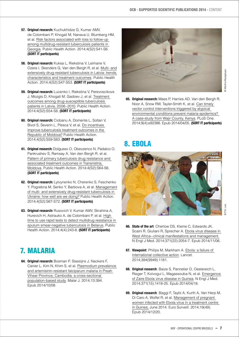- **57. Original research:** Kuchukhidze G, Kumar AMV, de Colombani P, Khogali M, Nanava U, Blumberg HM, et al. [Risk factors associated with loss to follow-up](http://www.ingentaconnect.com/content/iuatld/pha/2014/00000004/A00202s2/art00009)   [among multidrug-resistant tuberculosis patients in](http://www.ingentaconnect.com/content/iuatld/pha/2014/00000004/A00202s2/art00009)   [Georgia](http://www.ingentaconnect.com/content/iuatld/pha/2014/00000004/A00202s2/art00009). Public Health Action. 2014;4(S2):S41-S6.  **(SORT IT participants)**
- **58. Original research:** Kuksa L, Riekstina V, Leimane V, Ozere I, Skenders G, Van den Bergh R, et al. [Multi- and](http://www.ingentaconnect.com/content/iuatld/pha/2014/00000004/A00202s2/art00010)   [extensively drug-resistant tuberculosis in Latvia: trends,](http://www.ingentaconnect.com/content/iuatld/pha/2014/00000004/A00202s2/art00010)   [characteristics and treatment outcomes.](http://www.ingentaconnect.com/content/iuatld/pha/2014/00000004/A00202s2/art00010) Public Health Action. 2014;4(S2):S47-S53. **(SORT IT participants)**
- **59. Original research:** Lucenko I, Riekstina V, Perevoscikovs J, Mozgis D, Khogali M, Gadoev J, et al. [Treatment](http://www.ingentaconnect.com/content/iuatld/pha/2014/00000004/A00202s2/art00011)   [outcomes among drug-susceptible tuberculosis](http://www.ingentaconnect.com/content/iuatld/pha/2014/00000004/A00202s2/art00011)   [patients in Latvia, 2006–2010.](http://www.ingentaconnect.com/content/iuatld/pha/2014/00000004/A00202s2/art00011) Public Health Action. 2014;4(S2):S54-S8. **(SORT IT participants)**
- **60. Original research:** Ciobanu A, Domente L, Soltan V, Bivol S, Severin L, Plesca V, et al. [Do incentives](http://www.ingentaconnect.com/content/iuatld/pha/2014/00000004/A00202s2/art00012)   [improve tuberculosis treatment outcomes in the](http://www.ingentaconnect.com/content/iuatld/pha/2014/00000004/A00202s2/art00012)   [Republic of Moldova?](http://www.ingentaconnect.com/content/iuatld/pha/2014/00000004/A00202s2/art00012) Public Health Action. 2014;4(S2):S59-S63. **(SORT IT participants)**
- **61. Original research:** Dolgusev O, Obevzenco N, Padalco O, Pankrushev S, Ramsay A, Van den Bergh R, et al. [Pattern of primary tuberculosis drug resistance and](http://www.ingentaconnect.com/content/iuatld/pha/2014/00000004/A00202s2/art00013)   [associated treatment outcomes in Transnistria,](http://www.ingentaconnect.com/content/iuatld/pha/2014/00000004/A00202s2/art00013)   [Moldova](http://www.ingentaconnect.com/content/iuatld/pha/2014/00000004/A00202s2/art00013). Public Health Action. 2014;4(S2):S64-S6.  **(SORT IT participants)**
- **62. Original research:** Lytvynenko N, Cherenko S, Feschenko Y, Pogrebna M, Senko Y, Barbova A, et al. [Management](http://www.ingentaconnect.com/content/iuatld/pha/2014/00000004/A00202s2/art00014)   [of multi- and extensively drug-resistant tuberculosis in](http://www.ingentaconnect.com/content/iuatld/pha/2014/00000004/A00202s2/art00014)   [Ukraine: how well are we doing?](http://www.ingentaconnect.com/content/iuatld/pha/2014/00000004/A00202s2/art00014) Public Health Action. 2014;4(S2):S67-S72. **(SORT IT participants)**
- **63. Original research:** Rusovich V, Kumar AMV, Skrahina A, Hurevich H, Astrauko A, de Colombani P, et al. [High](http://www.ingentaconnect.com/content/iuatld/pha/2014/00000004/00000004/art00008)   [time to use rapid tests to detect multidrug resistance in](http://www.ingentaconnect.com/content/iuatld/pha/2014/00000004/00000004/art00008)   [sputum smear-negative tuberculosis in Belarus](http://www.ingentaconnect.com/content/iuatld/pha/2014/00000004/00000004/art00008). Public Health Action. 2014;4(4):243-8. **(SORT IT participants)**

# 7. Malaria

**64. Original research:** Bosman P, Stassijns J, Nackers F, Canier L, Kim N, Khim S, et al. [Plasmodium prevalence](http://www.malariajournal.com/content/13/1/394)   [and artemisinin-resistant falciparum malaria in Preah](http://www.malariajournal.com/content/13/1/394)   [Vihear Province, Cambodia: a cross-sectional](http://www.malariajournal.com/content/13/1/394)   [population-based study.](http://www.malariajournal.com/content/13/1/394) Malar J. 2014;13:394. Epub 2014/10/08.



- 2 Martina Bacigalupo @ Martina Bacigalupo
- **65. Original research:** Maes P, Harries AD, Van den Bergh R, Noor A, Snow RW, Tayler-Smith K, et al. [Can timely](http://journals.plos.org/plosone/article?id=10.1371/journal.pone.0092386)   [vector control interventions triggered by atypical](http://journals.plos.org/plosone/article?id=10.1371/journal.pone.0092386)   [environmental conditions prevent malaria epidemics?](http://journals.plos.org/plosone/article?id=10.1371/journal.pone.0092386)   [A case-study from Wajir County, Kenya.](http://journals.plos.org/plosone/article?id=10.1371/journal.pone.0092386) PLoS One. 2014;9(4):e92386. Epub 2014/04/05. **(SORT IT participants)**

# 8. Ebola



- **66. State of the art**: Chertow DS, Kleine C, Edwards JK, Scaini R, Giuliani R, Sprecher A. [Ebola virus disease in](http://fieldresearch.msf.org/msf/handle/10144/336794)   [West Africa--clinical manifestations and management.](http://fieldresearch.msf.org/msf/handle/10144/336794) N Engl J Med. 2014;371(22):2054-7. Epub 2014/11/06.
- **67. Viewpoint**: Philips M, Markham A. [Ebola: a failure of](http://www.thelancet.com/journals/lancet/article/PIIS0140-6736%2814%2961377-5/fulltext)   [international collective action](http://www.thelancet.com/journals/lancet/article/PIIS0140-6736%2814%2961377-5/fulltext). Lancet. 2014;384(9949):1181.
- **68. Original research**: Baize S, Pannetier D, Oestereich L, Rieger T, Koivogui L, Magassouba N, et al. [Emergence](http://www.nejm.org/doi/full/10.1056/NEJMoa1404505#t=article)   [of Zaire Ebola virus disease in Guinea.](http://www.nejm.org/doi/full/10.1056/NEJMoa1404505#t=article) N Engl J Med. 2014;371(15):1418-25. Epub 2014/04/18.
- **69. Original research**: Baggi F, Taybi A, Kurth A, Van Herp M, Di Caro A, Wolfel R, et al. [Management of pregnant](http://www.eurosurveillance.org/ViewArticle.aspx?ArticleId=20983)   [women infected with Ebola virus in a treatment centre](http://www.eurosurveillance.org/ViewArticle.aspx?ArticleId=20983)   [in Guinea,](http://www.eurosurveillance.org/ViewArticle.aspx?ArticleId=20983) June 2014. Euro Surveill. 2014;19(49). Epub 2014/12/20.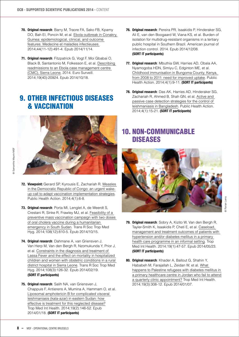- **70. Original research**: Barry M, Traore FA, Sako FB, Kpamy DO, Bah EI, Poncin M, et al. [Ebola outbreak in Conakry,](http://fieldresearch.msf.org/msf/handle/10144/336621)  [Guinea: epidemiological, clinical, and outcome](http://fieldresearch.msf.org/msf/handle/10144/336621)   [features. Medecine et maladies infectieuses.](http://fieldresearch.msf.org/msf/handle/10144/336621) 2014;44(11-12):491-4. Epub 2014/11/14.
- **71. Original research**: Fitzpatrick G, Vogt F, Moi Gbabai O, Black B, Santantonio M, Folkesson E, et al. [Describing](http://www.eurosurveillance.org/ViewArticle.aspx?ArticleId=20924)   [readmissions to an Ebola case management centre](http://www.eurosurveillance.org/ViewArticle.aspx?ArticleId=20924)   [\(CMC\), Sierra Leone,](http://www.eurosurveillance.org/ViewArticle.aspx?ArticleId=20924) 2014. Euro Surveill. 2014;19(40):20924. Epub 2014/10/18.

# 9. Other infectious diseases & Vaccination



@ Samantha Maurin/MSF

@ Samantha Maurin/MSF

- **72. Viewpoint:** Gerard SP, Kyrousis E, Zachariah R. [Measles](http://www.ingentaconnect.com/content/iuatld/pha/2014/00000004/00000001/art00004)   [in the Democratic Republic of Congo: an urgent wake](http://www.ingentaconnect.com/content/iuatld/pha/2014/00000004/00000001/art00004)  [up call to adapt vaccination implementation strategies.](http://www.ingentaconnect.com/content/iuatld/pha/2014/00000004/00000001/art00004) Public Health Action. 2014;4(1):6-8.
- **73. Original research**: Porta MI, Lenglet A, de Weerdt S, Crestani R, Sinke R, Frawley MJ, et al. [Feasibility of a](http://fieldresearch.msf.org/msf/handle/10144/334915)   [preventive mass vaccination campaign with two doses](http://fieldresearch.msf.org/msf/handle/10144/334915)   [of oral cholera vaccine during a humanitarian](http://fieldresearch.msf.org/msf/handle/10144/334915)   [emergency in South Sudan](http://fieldresearch.msf.org/msf/handle/10144/334915). Trans R Soc Trop Med Hyg. 2014;108(12):810-5. Epub 2014/10/15.
- **74. Original research**: Dahmane A, van Griensven J, Van Herp M, Van den Bergh R, Nzomukunda Y, Prior J, et al. [Constraints in the diagnosis and treatment of](http://fieldresearch.msf.org/msf/handle/10144/315033)   [Lassa Fever and the effect on mortality in hospitalized](http://fieldresearch.msf.org/msf/handle/10144/315033)   [children and women with obstetric conditions in a rural](http://fieldresearch.msf.org/msf/handle/10144/315033)   [district hospital in Sierra Leone.](http://fieldresearch.msf.org/msf/handle/10144/315033) Trans R Soc Trop Med Hyg. 2014;108(3):126-32. Epub 2014/02/19. **(SORT IT participants)**
- **75. Original research**: Salih NA, van Griensven J, Chappuis F, Antierens A, Mumina A, Hammam O, et al. [Liposomal amphotericin B for complicated visceral](http://fieldresearch.msf.org/msf/handle/10144/314577)   [leishmaniasis \(kala-azar\) in eastern Sudan: how](http://fieldresearch.msf.org/msf/handle/10144/314577)   [effective is treatment for this neglected disease?](http://fieldresearch.msf.org/msf/handle/10144/314577) Trop Med Int Health. 2014;19(2):146-52. Epub 2014/01/18. **(SORT IT participants)**
- **76. Original research**: Pereira PR, Isaakidis P, Hinderaker SG, Ali E, van den Boogaard W, Viana KS, et al. Burden of isolation for multidrug-resistant organisms in a tertiary public hospital in Southern Brazil. American journal of infection control. 2014. Epub 2014/12/08. **(SORT IT participants)**
- **77. Original research**: Mbuthia GW, Harries AD, Obala AA, Nyamogoba HDN, Simiyu C, Edginton ME, et al. [Childhood immunisation in Bungoma County, Kenya,](http://www.ingentaconnect.com/content/iuatld/pha/2014/00000004/00000001/art00005)   [from 2008 to 2011: need for improved uptake.](http://www.ingentaconnect.com/content/iuatld/pha/2014/00000004/00000001/art00005) Public Health Action. 2014;4(1):9-11. **(SORT IT participants)**
- **78. Original research**: Das AK, Harries AD, Hinderaker SG, Zachariah R, Ahmed B, Shah GN, et al. [Active and](http://www.ingentaconnect.com/content/iuatld/pha/2014/00000004/00000001/art00007)   [passive case detection strategies for the control of](http://www.ingentaconnect.com/content/iuatld/pha/2014/00000004/00000001/art00007)   [leishmaniasis in Bangladesh.](http://www.ingentaconnect.com/content/iuatld/pha/2014/00000004/00000001/art00007) Public Health Action. 2014;4(1):15-21. **(SORT IT participants)**

#### 10. Non-Communicable **DISEASES**

![](_page_7_Picture_13.jpeg)

- **79. Original research**: Sobry A, Kizito W, Van den Bergh R, Tayler-Smith K, Isaakidis P, Cheti E, et al. [Caseload,](http://fieldresearch.msf.org/msf/handle/10144/314654?mode=full)   [management and treatment outcomes of patients with](http://fieldresearch.msf.org/msf/handle/10144/314654?mode=full)   [hypertension and/or diabetes mellitus in a primary](http://fieldresearch.msf.org/msf/handle/10144/314654?mode=full)   [health care programme in an informal setting](http://fieldresearch.msf.org/msf/handle/10144/314654?mode=full). Trop Med Int Health. 2014;19(1):47-57. Epub 2014/05/23. **(SORT IT participants)**
- **80. Original research**: Khader A, Ballout G, Shahin Y, Hababeh M, Farajallah L, Zeidan W, et al. [What](http://fieldresearch.msf.org/msf/handle/10144/343406)   [happens to Palestine refugees with diabetes mellitus in](http://fieldresearch.msf.org/msf/handle/10144/343406)   [a primary healthcare centre in Jordan who fail to attend](http://fieldresearch.msf.org/msf/handle/10144/343406)   [a quarterly clinic appointment?](http://fieldresearch.msf.org/msf/handle/10144/343406) Trop Med Int Health. 2014;19(3):308-12. Epub 2014/01/07.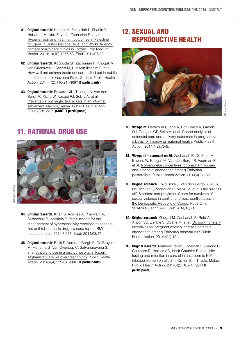- **81. Original research**: Khader A, Farajallah L, Shahin Y, Hababeh M, Abu-Zayed I, Zachariah R, et al. [Hypertension and treatment outcomes in Palestine](http://fieldresearch.msf.org/msf/handle/10144/325180)   [refugees in United Nations Relief and Works Agency](http://fieldresearch.msf.org/msf/handle/10144/325180)   [primary health care clinics in Jordan.](http://fieldresearch.msf.org/msf/handle/10144/325180) Trop Med Int Health. 2014;19(10):1276-83. Epub 2014/07/22.
- **82. Original research**: Kodouda SF, Zachariah R, Khogali M, van Griensven J, Saeed M, Hussein Ibrahim E, et al. [How well are asthma treatment cards filled out in public](http://www.ingentaconnect.com/content/iuatld/pha/2014/00000004/00000002/art00012)   [health centres in Gazeera State, Sudan?](http://www.ingentaconnect.com/content/iuatld/pha/2014/00000004/00000002/art00012) Public Health Action. 2014;4(2):116-21. **(SORT IT participants)**
- **83. Original research**: Edwards JK, Thiongó A, Van den Bergh R, Kizito W, Kosgei RJ, Sobry A, et al. [Preventable but neglected: rickets in an informal](http://fieldresearch.msf.org/msf/handle/10144/324676)   [settlement, Nairobi, Kenya](http://fieldresearch.msf.org/msf/handle/10144/324676). Public Health Action. 2014;4(2):122-7. **(SORT IT participants)**

# 12. Sexual and reproductive health

![](_page_8_Picture_5.jpeg)

# 11. Rational Drug Use

![](_page_8_Picture_8.jpeg)

Doris Burtscher @ Doris Burtscher

- **84. Original research**: Khan S, Andries A, Pherwani A, Saranchuk P, Isaakidis P. [Patch-testing for the](http://www.biomedcentral.com/1756-0500/7/537)   [management of hypersensitivity reactions to second](http://www.biomedcentral.com/1756-0500/7/537)  [line anti-tuberculosis drugs: a case report](http://www.biomedcentral.com/1756-0500/7/537). BMC research notes. 2014;7:537. Epub 2014/08/17.
- **85. Original research**: Bajis S, Van den Bergh R, De Bruycker M, Mahama G, Van Overloop C, Satyanarayana S, et al. [Antibiotic use in a district hospital in Kabul,](http://www.ingentaconnect.com/content/iuatld/pha/2014/00000004/00000004/art00011)   [Afghanistan: are we overprescribing?](http://www.ingentaconnect.com/content/iuatld/pha/2014/00000004/00000004/art00011) Public Health Action. 2014;4(4):259-64. **(SORT IT participants)**
- **86. Viewpoint**: Harries AD, Jahn A, Ben-Smith A, Gadabu OJ, Douglas GP, Seita A, et al. [Cohort analysis of](http://www.ingentaconnect.com/content/iuatld/pha/2014/00000004/00000002/art00003)   [antenatal care and delivery outcomes in pregnancy:](http://www.ingentaconnect.com/content/iuatld/pha/2014/00000004/00000002/art00003)   [a basis for improving maternal health.](http://www.ingentaconnect.com/content/iuatld/pha/2014/00000004/00000002/art00003) Public Health Action. 2014;4(2):75-8.
- **87. Viewpoint comment on 89**: Zachariah R, De Smet M, Etienne W, Khogali M, Van den Bergh R, Veerman R, et al. [Non-monetary incentives for pregnant women](http://www.ingentaconnect.com/content/iuatld/pha/2014/00000004/00000002/art00015)   [and antenatal attendance among Ethiopian](http://www.ingentaconnect.com/content/iuatld/pha/2014/00000004/00000002/art00015)   [pastoralists.](http://www.ingentaconnect.com/content/iuatld/pha/2014/00000004/00000002/art00015) Public Health Action. 2014;4(2):133.
- **88. Original research**: Loko Roka J, Van den Bergh R, Au S, De Plecker E, Zachariah R, Manzi M, et al. [One size fits](http://journals.plos.org/plosone/article?id=10.1371/journal.pone.0111096)   [all? Standardised provision of care for survivors of](http://journals.plos.org/plosone/article?id=10.1371/journal.pone.0111096)   [sexual violence in conflict and post-conflict areas in](http://journals.plos.org/plosone/article?id=10.1371/journal.pone.0111096)   [the Democratic Republic of Congo](http://journals.plos.org/plosone/article?id=10.1371/journal.pone.0111096). PLoS One. 2014;9(10):e111096. Epub 2014/10/21.
- **89. Original research**: Khogali M, Zachariah R, Reid AJ, Alipon SC, Zimble S, Gbane M, et al. [Do non-monetary](http://www.ingentaconnect.com/content/iuatld/pha/2014/00000004/00000001/art00006)   [incentives for pregnant women increase antenatal](http://www.ingentaconnect.com/content/iuatld/pha/2014/00000004/00000001/art00006)   [attendance among Ethiopian pastoralists?](http://www.ingentaconnect.com/content/iuatld/pha/2014/00000004/00000001/art00006) Public Health Action. 2014;4(1):12-4.
- **90. Original research**: Martínez Pérez G, Metcalf C, Garone D, Coulborn R, Harries AD, Hedt-Gauthier B, et al. [HIV](http://msf.openrepository.com/msf/handle/10144/324674?mode=full )   [testing and retention in care of infants born to HIV](http://msf.openrepository.com/msf/handle/10144/324674?mode=full )   [infected women enrolled in 'Option B+', Thyolo, Malawi.](http://msf.openrepository.com/msf/handle/10144/324674?mode=full ) Public Health Action. 2014;4(2):102-4. **(SORT IT participants)**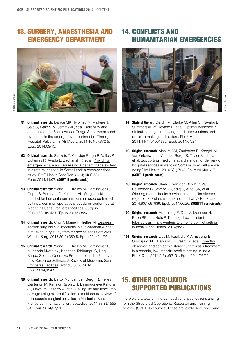### 13. Surgery, Anaesthesia and Emergency department

![](_page_9_Picture_2.jpeg)

- **91. Original research**: Dalwai MK, Twomey M, Maikere J, Said S, Wakeel M, Jemmy JP, et al. [Reliability and](http://www.sciencedirect.com/science/article/pii/S2211419X13001547)   [accuracy of the South African Triage Scale when used](http://www.sciencedirect.com/science/article/pii/S2211419X13001547)   [by nurses in the emergency department of Timergara](http://www.sciencedirect.com/science/article/pii/S2211419X13001547)   [Hospital, Pakistan.](http://www.sciencedirect.com/science/article/pii/S2211419X13001547) S Afr Med J. 2014;104(5):372-5. Epub 2014/09/13.
- **92. Original research**: Sunyoto T, Van den Bergh R, Valles P, Gutierrez R, Ayada L, Zachariah R, et al. [Providing](http://www.biomedcentral.com/1472-6963/14/531)   [emergency care and assessing a patient triage system](http://www.biomedcentral.com/1472-6963/14/531)   [in a referral hospital in Somaliland: a cross-sectional](http://www.biomedcentral.com/1472-6963/14/531)   [study](http://www.biomedcentral.com/1472-6963/14/531). BMC Health Serv Res. 2014;14(1):531. Epub 2014/11/07. **(SORT IT participants)**
- **93. Original research**: Wong EG, Trelles M, Dominguez L, Gupta S, Burnham G, Kushner AL. Surgical skills needed for humanitarian missions in resource-limited settings: common operative procedures performed at Medecins Sans Frontieres facilities. Surgery. 2014;156(3):642-9. Epub 2014/03/26.
- **94. Original research**: Chu K, Maine R, Trelles M. [Cesarean](http://fieldresearch.msf.org/msf/handle/10144/336374)  section surgical site infections in sub-saharan Africa:  [a multi-country study from medecins sans frontieres](http://fieldresearch.msf.org/msf/handle/10144/336374). World J Surg. 2015;39(2):350-5. Epub 2014/11/02.
- **95. Original research**: Wong EG, Trelles M, Dominguez L, Mupenda Mwania J, Kasonga Tshibangu C, Haq Saqeb S, et al. [Operative Procedures in the Elderly in](http://paperity.org/p/52613898/operative-procedures-in-the-elderly-in-low-resource-settings-a-review-of-medecins-sans)   [Low-Resource Settings: A Review of Medecins Sans](http://paperity.org/p/52613898/operative-procedures-in-the-elderly-in-low-resource-settings-a-review-of-medecins-sans)   [Frontieres Facilities](http://paperity.org/p/52613898/operative-procedures-in-the-elderly-in-low-resource-settings-a-review-of-medecins-sans). World J Surg. 2014. Epub 2014/12/03.
- **96. Original research**: Bertol MJ, Van den Bergh R, Trelles Centurion M, Kenslor Ralph DH, Basimuoneye Kahutsi JP, Qayeum Qasemy A, et al. [Saving life and limb: limb](http://link.springer.com/article/10.1007%2Fs00264-014-2451-6)   [salvage using external fixation, a multi-centre review of](http://link.springer.com/article/10.1007%2Fs00264-014-2451-6)   [orthopaedic surgical activities in Medecins Sans](http://link.springer.com/article/10.1007%2Fs00264-014-2451-6)   [Frontieres](http://link.springer.com/article/10.1007%2Fs00264-014-2451-6). International orthopaedics. 2014;38(8):1555- 61. Epub 2014/07/21.

# 14. Conflicts and Humanitarian Emergencies

![](_page_9_Picture_11.jpeg)

- **97. State of the art**: Gerdin M, Clarke M, Allen C, Kayabu B, Summerskill W, Devane D, et al. [Optimal evidence in](http://journals.plos.org/plosmedicine/article?id=10.1371/journal.pmed.1001632)   [difficult settings: improving health interventions and](http://journals.plos.org/plosmedicine/article?id=10.1371/journal.pmed.1001632)   [decision making in disasters.](http://journals.plos.org/plosmedicine/article?id=10.1371/journal.pmed.1001632) PLoS Med. 2014;11(4):e1001632. Epub 2014/04/24.
- **98. Original research**: Maalim AM, Zachariah R, Khogali M, Van Griensven J, Van den Bergh R, Tayler-Smith K, et al. Supporting 'medicine at a distance' for delivery of hospital services in war-torn Somalia: how well are we doing? Int Health. 2014;6(1):70-3. Epub 2014/01/17. **(SORT IT participants)**
- **99. Original research**: Shah S, Van den Bergh R, Van Bellinghen B, Severy N, Sadiq S, Afridi SA, et al. [Offering mental health services in a conflict affected](http://journals.plos.org/plosone/article?id=10.1371/journal.pone.0097939)   [region of Pakistan: who comes, and why?](http://journals.plos.org/plosone/article?id=10.1371/journal.pone.0097939) PLoS One. 2014;9(6):e97939. Epub 2014/06/26. **(SORT IT participants)**
- **100. Original research**: Armstrong E, Das M, Mansoor H, Babu RB, Isaakidis P. [Treating drug-resistant](http://www.conflictandhealth.com/content/8/1/25)   [tuberculosis in a low-intensity chronic conflict setting](http://www.conflictandhealth.com/content/8/1/25)   [in India.](http://www.conflictandhealth.com/content/8/1/25) Confl Health. 2014;8:25.
- **101. Original research**: Das M, Isaakidis P, Armstrong E, Gundipudi NR, Babu RB, Qureshi IA, et al. [Directly](http://journals.plos.org/plosone/article?id=10.1371/journal.pone.0092131)  [observed and self-administered tuberculosis treatment](http://journals.plos.org/plosone/article?id=10.1371/journal.pone.0092131)   [in a chronic, low-intensity conflict setting in India.](http://journals.plos.org/plosone/article?id=10.1371/journal.pone.0092131) PLoS One. 2014;9(3):e92131. Epub 2014/03/22.

### 15. Other OCB/LUXOR supported publications

There were a total of nineteen additional publications arising from the Structured Operational Research and Training Initiative (SORT IT) courses. These are jointly developed and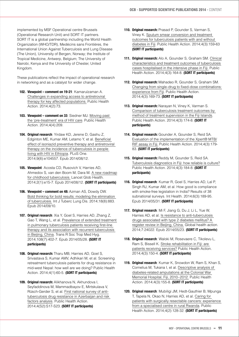implemented by MSF Operational centre Brussels (Operational Research Unit) and SORT IT partners. SORT IT is a global partnership including the World Health Organization (WHO/TDR), Medécins sans Frontières, the International Union Against Tuberculosis and Lung Disease (The Union), University of Bergen, Norway; the Institute of Tropical Medicine, Antwerp, Belgium; The University of Nairobi, Kenya and the University of Chester, United Kingdom.

These publications reflect the impact of operational research in networking and as a catalyst for wider change.

- **102. Viewpoint comment on 19-21**: Kamarulzaman A. [Challenges in expanding access to antiretroviral](http://www.ingentaconnect.com/content/iuatld/pha/2014/00000004/00000002/art00001)   [therapy for key affected populations.](http://www.ingentaconnect.com/content/iuatld/pha/2014/00000004/00000002/art00001) Public Health Action. 2014;4(2):73.
- **103. Viewpoint comment on 33**: Siedner MJ. [Moving past](http://www.ingentaconnect.com/content/iuatld/pha/2014/00000004/00000004/art00001)   [the 'pre-treatment' era of HIV care](http://www.ingentaconnect.com/content/iuatld/pha/2014/00000004/00000004/art00001). Public Health Action. 2014;4(4):209.
- **104. Original research**: Yirdaw KD, Jerene D, Gashu Z, Edginton ME, Kumar AM, Letamo Y, et al. [Beneficial](http://journals.plos.org/plosone/article?id=10.1371/journal.pone.0104557)   [effect of isoniazid preventive therapy and antiretroviral](http://journals.plos.org/plosone/article?id=10.1371/journal.pone.0104557)   [therapy on the incidence of tuberculosis in people](http://journals.plos.org/plosone/article?id=10.1371/journal.pone.0104557)   [living with HIV in Ethiopia.](http://journals.plos.org/plosone/article?id=10.1371/journal.pone.0104557) PLoS One. 2014;9(8):e104557. Epub 2014/08/12.
- **105. Viewpoint**: Acosta CD, Rusovich V, Harries AD, Ahmedov S, van den Boom M, Dara M. [A new roadmap](http://www.thelancet.com/journals/langlo/article/PIIS2214-109X%2813%2970153-0/fulltext)   [for childhood tuberculosis.](http://www.thelancet.com/journals/langlo/article/PIIS2214-109X%2813%2970153-0/fulltext) Lancet Glob Health. 2014;2(1):e15-7. Epub 2014/08/12. **(SORT IT participants)**
- **106. Viewpoint comment on 48:** Azman AS, Dowdy DW. [Bold thinking for bold results: modeling the elimination](http://www.ingentaconnect.com/content/iuatld/ijtld/2014/00000018/00000008/art00001)   [of tuberculosis.](http://www.ingentaconnect.com/content/iuatld/ijtld/2014/00000018/00000008/art00001) Int J Tuberc Lung Dis. 2014;18(8):883. Epub 2014/09/10.
- **107. Original research**: Xia Y, Goel S, Harries AD, Zhang Z, Gao T, Wang L, et al. [Prevalence of extended treatment](http://www.ncbi.nlm.nih.gov/pmc/articles/PMC4059280/)   [in pulmonary tuberculosis patients receiving first-line](http://www.ncbi.nlm.nih.gov/pmc/articles/PMC4059280/)   [therapy and its association with recurrent tuberculosis](http://www.ncbi.nlm.nih.gov/pmc/articles/PMC4059280/)   [in Beijing, China.](http://www.ncbi.nlm.nih.gov/pmc/articles/PMC4059280/) Trans R Soc Trop Med Hyg. 2014;108(7):402-7. Epub 2014/05/28. **(SORT IT participants)**
- **108. Original research:** Tharu MB, Harries AD, Goel S, Srivastava S, Kumar AMV, Adhikari M, et al. Screening retreatment tuberculosis patients for drug resistance in mid-west Nepal: how well are we doing? Public Health Action. 2014;4(1):60-5. **(SORT IT participants)**
- **109. Original research:** Alikhanova N, Akhundova I, Seyfaddinova M, Mammadbayov E, Mirtskulava V, Rüsch-Gerder S, et al. [First national survey of anti](http://www.ingentaconnect.com/content/iuatld/pha/2014/00000004/A00202s2/art00005)  [tuberculosis drug resistance in Azerbaijan and risk](http://www.ingentaconnect.com/content/iuatld/pha/2014/00000004/A00202s2/art00005)   [factors analysis.](http://www.ingentaconnect.com/content/iuatld/pha/2014/00000004/A00202s2/art00005) Public Health Action. 2014;4(S2):S17-S23. **(SORT IT participants)**
- **110. Original research:** Prasad P, Gounder S, Varman S, Viney K. [Sputum smear conversion and treatment](http://www.ingentaconnect.com/content/iuatld/pha/2014/00000004/00000003/art00009)   [outcomes for tuberculosis patients with and without](http://www.ingentaconnect.com/content/iuatld/pha/2014/00000004/00000003/art00009)   [diabetes in Fiji](http://www.ingentaconnect.com/content/iuatld/pha/2014/00000004/00000003/art00009). Public Health Action. 2014;4(3):159-63 **(SORT IT participants)**
- **111. Original research:** Alo A, Gounder S, Graham SM. [Clinical](http://www.ingentaconnect.com/content/iuatld/pha/2014/00000004/00000003/art00010)   [characteristics and treatment outcomes of tuberculosis](http://www.ingentaconnect.com/content/iuatld/pha/2014/00000004/00000003/art00010)   [cases hospitalised in the intensive phase in Fiji.](http://www.ingentaconnect.com/content/iuatld/pha/2014/00000004/00000003/art00010) Public Health Action. 2014;4(3):164-8. **(SORT IT participants)**
- **112. Original research:** Mahadeo R, Gounder S, Graham SM. [Changing from single-drug to fixed-dose combinations:](http://www.ingentaconnect.com/content/iuatld/pha/2014/00000004/00000003/art00011)   [experience from Fiji](http://www.ingentaconnect.com/content/iuatld/pha/2014/00000004/00000003/art00011). Public Health Action. 2014;4(3):169-73. **(SORT IT participants)**
- **113. Original research:** Narayan N, Viney K, Varman S. [Comparison of tuberculosis treatment outcomes by](http://www.ingentaconnect.com/content/iuatld/pha/2014/00000004/00000003/art00012)   [method of treatment supervision in the Fiji Islands.](http://www.ingentaconnect.com/content/iuatld/pha/2014/00000004/00000003/art00012) Public Health Action. 2014;4(3):174-8. **(SORT IT participants)**
- **114. Original research:** Gounder A, Gounder S, Reid SA. [Evaluation of the implementation of the Xpert® MTB/](http://ingentaconnect.com/content/iuatld/pha/2014/00000004/00000003/art00013)  [RIF assay in Fiji.](http://ingentaconnect.com/content/iuatld/pha/2014/00000004/00000003/art00013) Public Health Action. 2014;4(3):179- 83. **(SORT IT participants)**
- **115. Original research:** Reddy M, Gounder S, Reid SA. [Tuberculosis diagnostics in Fiji: how reliable is culture?](http://www.ingentaconnect.com/content/iuatld/pha/2014/00000004/00000003/art00014) Public Health Action. 2014;4(3):184-8. **(SORT IT participants)**
- **116. Original research**: Kumar R, Goel S, Harries AD, Lal P, Singh RJ, Kumar AM, et al. How good is compliance with smoke-free legislation in India? Results of 38 subnational surveys. Int Health. 2014;6(3):189-95. Epub 2014/05/31. **(SORT IT participants)**
- **117. Original research**: Mi F, Jiang G, Du J, Li L, Yue W, Harries AD, et al. [Is resistance to anti-tuberculosis](http://www.globalhealthaction.net/index.php/gha/article/view/24022)   [drugs associated with type 2 diabetes mellitus? A](http://www.globalhealthaction.net/index.php/gha/article/view/24022)   [register review in Beijing, China.](http://www.globalhealthaction.net/index.php/gha/article/view/24022) Global health action. 2014;7:24022. Epub 2014/05/23. **(SORT IT participants)**
- **118. Original research**: Waloki M, Rosevaere C, Tikolevu L, Ram S, Bissell K. [Stroke rehabilitation in Fiji: are](http://www.ingentaconnect.com/content/iuatld/pha/2014/00000004/00000003/art00007)   [patients receiving services?](http://www.ingentaconnect.com/content/iuatld/pha/2014/00000004/00000003/art00007) Public Health Action. 2014;4(3):150-4. **(SORT IT participants)**
- **119. Original research**: Kumar K, Snowdon W, Ram S, Khan S, Cornelius M, Tukana I, et al. [Descriptive analysis of](http://www.ingentaconnect.com/content/iuatld/pha/2014/00000004/00000003/art00008)   [diabetes-related amputations at the Colonial War](http://www.ingentaconnect.com/content/iuatld/pha/2014/00000004/00000003/art00008)   [Memorial Hospital, Fiji, 2010–2012.](http://www.ingentaconnect.com/content/iuatld/pha/2014/00000004/00000003/art00008) Public Health Action. 2014;4(3):155-8. **(SORT IT participants)**
- **120. Original research**: Mubiligi JM, Hedt-Gauthier B, Mpunga T, Tapela N, Okao N, Harries AD, et al. [Caring for](http://www.ingentaconnect.com/content/iuatld/pha/2014/00000004/00000002/art00014)   [patients with surgically resectable cancers: experience](http://www.ingentaconnect.com/content/iuatld/pha/2014/00000004/00000002/art00014)   [from a specialised centre in rural Rwanda.](http://www.ingentaconnect.com/content/iuatld/pha/2014/00000004/00000002/art00014) Public Health Action. 2014;4(2):128-32. **(SORT IT participants)**